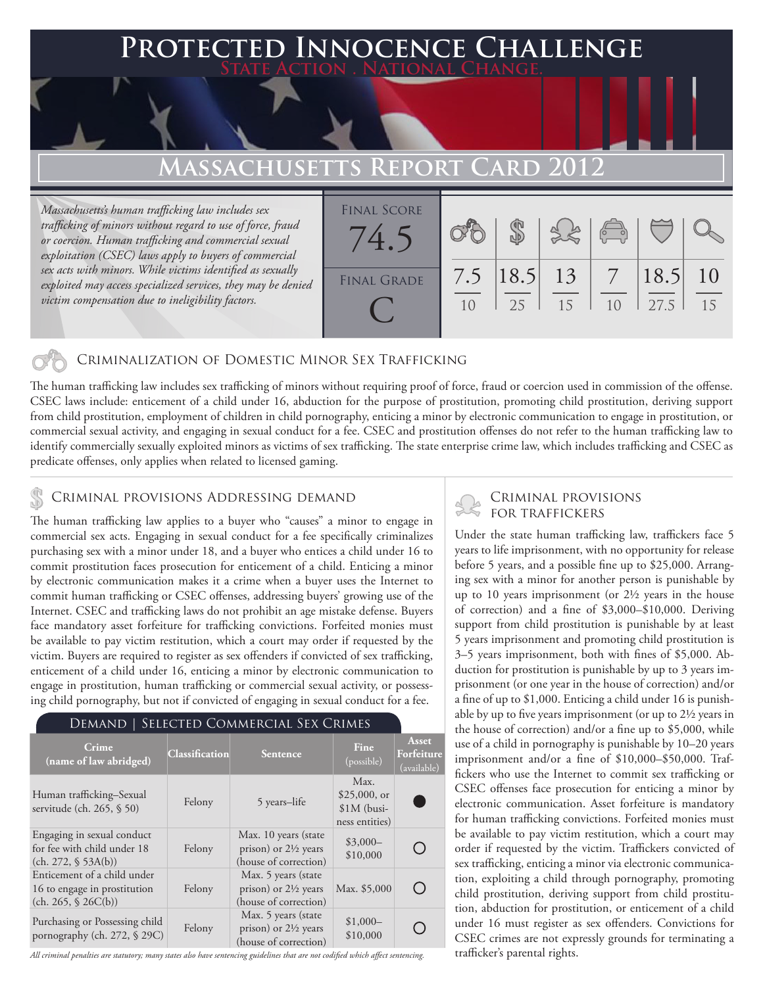### **PTED INNOCENCE CHALLENGE State Action . National Change.**

# **Massachusetts Report Card 2012**

*Massachusetts's human trafficking law includes sex trafficking of minors without regard to use of force, fraud or coercion. Human trafficking and commercial sexual exploitation (CSEC) laws apply to buyers of commercial sex acts with minors. While victims identified as sexually exploited may access specialized services, they may be denied victim compensation due to ineligibility factors.*

| <b>FINAL SCORE</b><br>(4) |           |                   |    | $\overline{a}$                    |              |          |
|---------------------------|-----------|-------------------|----|-----------------------------------|--------------|----------|
| <b>FINAL GRADE</b>        | 7.5<br>10 | $ 18.5 $ 13<br>25 | 15 | $7\overline{ }$<br>1 <sub>0</sub> | 18.5<br>27.5 | 10<br>15 |

#### Criminalization of Domestic Minor Sex Trafficking

The human trafficking law includes sex trafficking of minors without requiring proof of force, fraud or coercion used in commission of the offense. CSEC laws include: enticement of a child under 16, abduction for the purpose of prostitution, promoting child prostitution, deriving support from child prostitution, employment of children in child pornography, enticing a minor by electronic communication to engage in prostitution, or commercial sexual activity, and engaging in sexual conduct for a fee. CSEC and prostitution offenses do not refer to the human trafficking law to identify commercially sexually exploited minors as victims of sex trafficking. The state enterprise crime law, which includes trafficking and CSEC as predicate offenses, only applies when related to licensed gaming.

# CRIMINAL PROVISIONS ADDRESSING DEMAND<br>FOR TRAFFICKERS

The human trafficking law applies to a buyer who "causes" a minor to engage in commercial sex acts. Engaging in sexual conduct for a fee specifically criminalizes purchasing sex with a minor under 18, and a buyer who entices a child under 16 to commit prostitution faces prosecution for enticement of a child. Enticing a minor by electronic communication makes it a crime when a buyer uses the Internet to commit human trafficking or CSEC offenses, addressing buyers' growing use of the Internet. CSEC and trafficking laws do not prohibit an age mistake defense. Buyers face mandatory asset forfeiture for trafficking convictions. Forfeited monies must be available to pay victim restitution, which a court may order if requested by the victim. Buyers are required to register as sex offenders if convicted of sex trafficking, enticement of a child under 16, enticing a minor by electronic communication to engage in prostitution, human trafficking or commercial sexual activity, or possessing child pornography, but not if convicted of engaging in sexual conduct for a fee.

#### Demand | Selected Commercial Sex Crimes

| Crime<br>(name of law abridged)                                                    | <b>Classification</b> | <b>Sentence</b>                                                                  | <b>Fine</b><br>(possible)                                | <b>Asset</b><br>Forfeiture<br>(available) |
|------------------------------------------------------------------------------------|-----------------------|----------------------------------------------------------------------------------|----------------------------------------------------------|-------------------------------------------|
| Human trafficking–Sexual<br>servitude (ch. 265, § 50)                              | Felony                | 5 years-life                                                                     | Max.<br>$$25,000$ , or<br>$$1M$ (busi-<br>ness entities) |                                           |
| Engaging in sexual conduct<br>for fee with child under 18<br>(ch. 272, § 53A(b))   | Felony                | Max. 10 years (state<br>prison) or $2\frac{1}{2}$ years<br>(house of correction) | $$3,000-$<br>\$10,000                                    |                                           |
| Enticement of a child under<br>16 to engage in prostitution<br>(ch. 265, \$26C(b)) | Felony                | Max. 5 years (state<br>prison) or $2\frac{1}{2}$ years<br>(house of correction)  | Max. \$5,000                                             |                                           |
| Purchasing or Possessing child<br>pornography (ch. 272, § 29C)                     | Felony                | Max. 5 years (state<br>prison) or $2\frac{1}{2}$ years<br>(house of correction)  | $$1,000-$<br>\$10,000                                    |                                           |

*All criminal penalties are statutory; many states also have sentencing guidelines that are not codified which affect sentencing.* 

# Criminal provisions

Under the state human trafficking law, traffickers face 5 years to life imprisonment, with no opportunity for release before 5 years, and a possible fine up to \$25,000. Arranging sex with a minor for another person is punishable by up to 10 years imprisonment (or 2½ years in the house of correction) and a fine of \$3,000–\$10,000. Deriving support from child prostitution is punishable by at least 5 years imprisonment and promoting child prostitution is 3–5 years imprisonment, both with fines of \$5,000. Abduction for prostitution is punishable by up to 3 years imprisonment (or one year in the house of correction) and/or a fine of up to \$1,000. Enticing a child under 16 is punishable by up to five years imprisonment (or up to 2½ years in the house of correction) and/or a fine up to \$5,000, while use of a child in pornography is punishable by 10–20 years imprisonment and/or a fine of \$10,000–\$50,000. Traffickers who use the Internet to commit sex trafficking or CSEC offenses face prosecution for enticing a minor by electronic communication. Asset forfeiture is mandatory for human trafficking convictions. Forfeited monies must be available to pay victim restitution, which a court may order if requested by the victim. Traffickers convicted of sex trafficking, enticing a minor via electronic communication, exploiting a child through pornography, promoting child prostitution, deriving support from child prostitution, abduction for prostitution, or enticement of a child under 16 must register as sex offenders. Convictions for CSEC crimes are not expressly grounds for terminating a trafficker's parental rights.